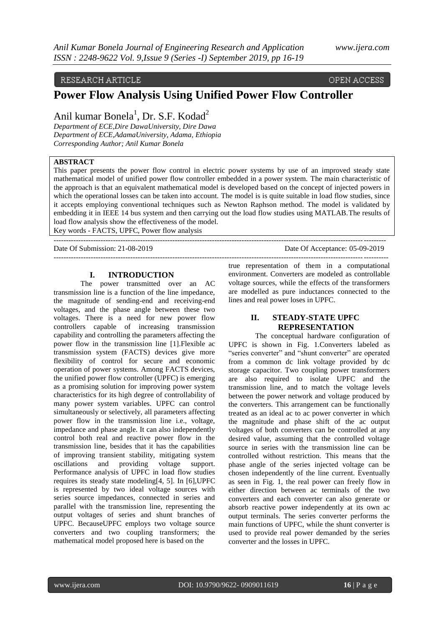# RESEARCH ARTICLE

OPEN ACCESS

# **Power Flow Analysis Using Unified Power Flow Controller**

Anil kumar Bonela<sup>1</sup>, Dr. S.F. Kodad<sup>2</sup>

*Department of ECE,Dire DawaUniversity, Dire Dawa Department of ECE,AdamaUniversity, Adama, Ethiopia Corresponding Author; Anil Kumar Bonela*

# **ABSTRACT**

This paper presents the power flow control in electric power systems by use of an improved steady state mathematical model of unified power flow controller embedded in a power system. The main characteristic of the approach is that an equivalent mathematical model is developed based on the concept of injected powers in which the operational losses can be taken into account. The model is is quite suitable in load flow studies, since it accepts employing conventional techniques such as Newton Raphson method. The model is validated by embedding it in IEEE 14 bus system and then carrying out the load flow studies using MATLAB.The results of load flow analysis show the effectiveness of the model.

Key words - FACTS, UPFC, Power flow analysis --------------------------------------------------------------------------------------------------------------------------------------

Date Of Submission: 21-08-2019 Date Of Acceptance: 05-09-2019

#### **I. INTRODUCTION**

The power transmitted over an AC transmission line is a function of the line impedance, the magnitude of sending-end and receiving-end voltages, and the phase angle between these two voltages. There is a need for new power flow controllers capable of increasing transmission capability and controlling the parameters affecting the power flow in the transmission line [1].Flexible ac transmission system (FACTS) devices give more flexibility of control for secure and economic operation of power systems. Among FACTS devices, the unified power flow controller (UPFC) is emerging as a promising solution for improving power system characteristics for its high degree of controllability of many power system variables. UPFC can control simultaneously or selectively, all parameters affecting power flow in the transmission line i.e., voltage, impedance and phase angle. It can also independently control both real and reactive power flow in the transmission line, besides that it has the capabilities of improving transient stability, mitigating system oscillations and providing Performance analysis of UPFC in load flow studies requires its steady state modeling[4, 5]. In [6],UPFC is represented by two ideal voltage sources with series source impedances, connected in series and parallel with the transmission line, representing the output voltages of series and shunt branches of UPFC. BecauseUPFC employs two voltage source converters and two coupling transformers; the mathematical model proposed here is based on the

true representation of them in a computational environment. Converters are modeled as controllable voltage sources, while the effects of the transformers are modelled as pure inductances connected to the lines and real power loses in UPFC.

---------------------------------------------------------------------------------------------------------------------------------------

### **II. STEADY-STATE UPFC REPRESENTATION**

The conceptual hardware configuration of UPFC is shown in Fig. 1.Converters labeled as "series converter" and "shunt converter" are operated from a common dc link voltage provided by dc storage capacitor. Two coupling power transformers are also required to isolate UPFC and the transmission line, and to match the voltage levels between the power network and voltage produced by the converters. This arrangement can be functionally treated as an ideal ac to ac power converter in which the magnitude and phase shift of the ac output voltages of both converters can be controlled at any desired value, assuming that the controlled voltage source in series with the transmission line can be controlled without restriction. This means that the phase angle of the series injected voltage can be chosen independently of the line current. Eventually as seen in Fig. 1, the real power can freely flow in either direction between ac terminals of the two converters and each converter can also generate or absorb reactive power independently at its own ac output terminals. The series converter performs the main functions of UPFC, while the shunt converter is used to provide real power demanded by the series converter and the losses in UPFC.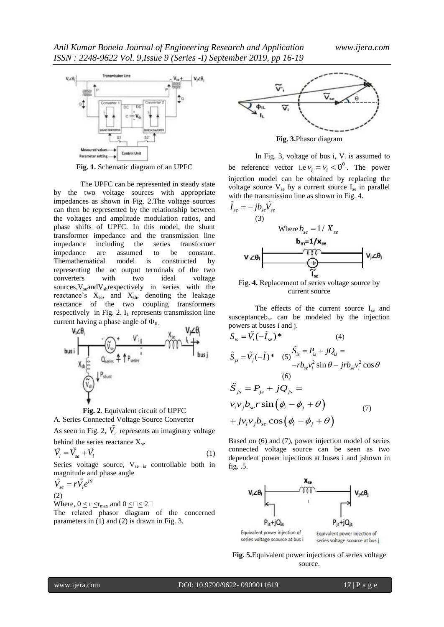

**Fig. 1.** Schematic diagram of an UPFC

The UPFC can be represented in steady state by the two voltage sources with appropriate impedances as shown in Fig. 2.The voltage sources can then be represented by the relationship between the voltages and amplitude modulation ratios, and phase shifts of UPFC. In this model, the shunt transformer impedance and the transmission line impedance including the series transformer impedance are assumed to be constant. Themathematical model is constructed by representing the ac output terminals of the two converters with two ideal voltage sources,  $V_{se}$  and  $V_{sh}$  respectively in series with the reactance's  $X_{se}$ , and  $X_{sh}$ , denoting the leakage reactance of the two coupling transformers respectively in Fig. 2. I<sub>L</sub> represents transmission line current having a phase angle of  $\Phi$ <sub>IL</sub>





As seen in Fig. 2,  $\tilde{V}_i$  represents an imaginary voltage behind the series reactance  $X_{se}$ 

$$
\tilde{V}_i = \tilde{V}_{se} + \tilde{V}_i
$$
\n<sup>(1)</sup>

Series voltage source,  $V_{se}$  is controllable both in magnitude and phase angle

$$
\tilde{V}_{se} = r\tilde{V}_{i}e^{i\theta}
$$
\n(2)

Where,  $0 \le r \le r_{\text{max}}$  and  $0 \le \exists \le 2$ The related phasor diagram of the concerned parameters in (1) and (2) is drawn in Fig. 3.



**Fig. 3.**Phasor diagram

In Fig. 3, voltage of bus i,  $V_i$  is assumed to be reference vector i.e  $v_i = v_i < 0^\circ$ . The power injection model can be obtained by replacing the voltage source  $V_{se}$  by a current source  $I_{se}$  in parallel with the transmission line as shown in Fig. 4.

$$
\tilde{I}_{se} = -jb_{se}\tilde{V}_{se}
$$
\n(3)\nWhere  $b_{se} = 1/X_{se}$ \n
$$
v_i \angle \theta_i
$$
\n
$$
V_i \angle \theta_i
$$
\n
$$
V_i \angle \theta_i
$$
\n
$$
V_i \angle \theta_i
$$
\n
$$
V_i \angle \theta_i
$$
\n
$$
V_i \angle \theta_i
$$



The effects of the current source  $I_{se}$  and susceptance $b_{se}$  can be modeled by the injection powers at buses i and j.

$$
S_{is} = \tilde{V}_i(-\tilde{I}_{se})^*
$$
\n(4)  
\n
$$
\tilde{S}_{js} = \tilde{V}_j(-\tilde{I})^*
$$
\n(5)  
\n
$$
S_{is} = P_{is} + jQ_{is} = -rb_{se}v_i^2 \sin \theta - jrb_{se}v_i^2 \cos \theta
$$
\n(6)  
\n
$$
\tilde{S}_{js} = P_{js} + jQ_{js} =
$$
\n
$$
v_iv_jb_{se}r \sin(\phi_i - \phi_j + \theta)
$$
\n(7)  
\n
$$
+ jv_iv_jb_{se} \cos(\phi_i - \phi_j + \theta)
$$

Based on (6) and (7), power injection model of series connected voltage source can be seen as two dependent power injections at buses i and jshown in fig. .5.



**Fig. 5.**Equivalent power injections of series voltage source.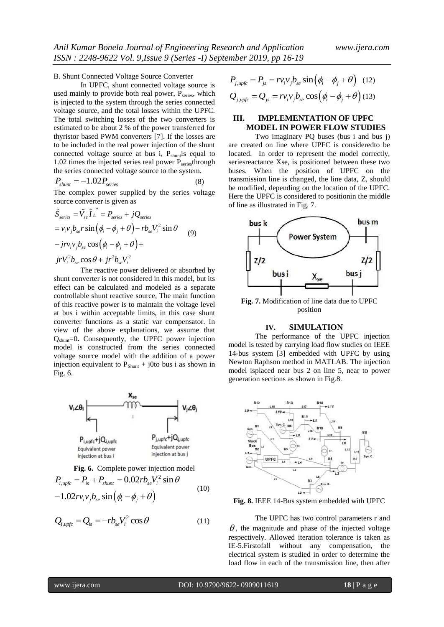B. Shunt Connected Voltage Source Converter

In UPFC, shunt connected voltage source is used mainly to provide both real power,  $P_{series}$ , which is injected to the system through the series connected voltage source, and the total losses within the UPFC. The total switching losses of the two converters is estimated to be about 2 % of the power transferred for thyristor based PWM converters [7]. If the losses are to be included in the real power injection of the shunt connected voltage source at bus  $i$ ,  $P_{shunt}$  equal to 1.02 times the injected series real power  $P_{\text{series}}$ through the series connected voltage source to the system.

$$
P_{shunt} = -1.02 P_{series} \tag{8}
$$

The complex power supplied by the series voltage

source converter is given as  
\n
$$
\tilde{S}_{series} = \tilde{V}_{se} \tilde{I} L^* = P_{series} + jQ_{series}
$$
\n
$$
= v_i v_j b_{se} r \sin \left( \phi_i - \phi_j + \theta \right) - r b_{se} V_i^2 \sin \theta
$$
\n
$$
-j r v_i v_j b_{se} \cos \left( \phi_i - \phi_j + \theta \right) +
$$
\n
$$
j r V_i^2 b_{se} \cos \theta + j r^2 b_{se} V_i^2
$$

The reactive power delivered or absorbed by shunt converter is not considered in this model, but its effect can be calculated and modeled as a separate controllable shunt reactive source, The main function of this reactive power is to maintain the voltage level at bus i within acceptable limits, in this case shunt converter functions as a static var compensator. In view of the above explanations, we assume that Qshunt=0**.** Consequently, the UPFC power injection model is constructed from the series connected voltage source model with the addition of a power injection equivalent to  $P_{Shunt}$  + j0to bus i as shown in Fig. 6.



**Fig. 6.** Complete power injection model  
\n
$$
P_{i, \text{unfc}} = P_{is} + P_{\text{shunt}} = 0.02rb_{se}V_i^2 \sin \theta
$$
\n
$$
-1.02rv_iv_jb_{se} \sin(\phi_i - \phi_j + \theta)
$$
\n(10)

$$
Q_{i, \text{upfc}} = Q_{is} = -rb_{se}V_i^2 \cos \theta \tag{11}
$$

$$
P_{j, upfc} = P_{js} = r v_i v_j b_{se} \sin(\phi_i - \phi_j + \theta) \quad (12)
$$

$$
Q_{j, upfc} = Q_{js} = r v_i v_j b_{se} \cos(\phi_i - \phi_j + \theta) \quad (13)
$$

# **III. IMPLEMENTATION OF UPFC MODEL IN POWER FLOW STUDIES**

Two imaginary PQ buses (bus i and bus j) are created on line where UPFC is consideredto be located. In order to represent the model correctly, seriesreactance Xse, is positioned between these two buses. When the position of UPFC on the transmission line is changed, the line data, Z, should be modified, depending on the location of the UPFC. Here the UPFC is considered to positionin the middle of line as illustrated in Fig. 7.



**Fig. 7.** Modification of line data due to UPFC position

#### **IV. SIMULATION**

The performance of the UPFC injection model is tested by carrying load flow studies on IEEE 14-bus system [3] embedded with UPFC by using Newton Raphson method in MATLAB. The injection model isplaced near bus 2 on line 5, near to power generation sections as shown in Fig.8.



**Fig. 8.** IEEE 14-Bus system embedded with UPFC

The UPFC has two control parameters r and  $\theta$ , the magnitude and phase of the injected voltage respectively. Allowed iteration tolerance is taken as IE-5.Firstofall without any compensation, the electrical system is studied in order to determine the load flow in each of the transmission line, then after